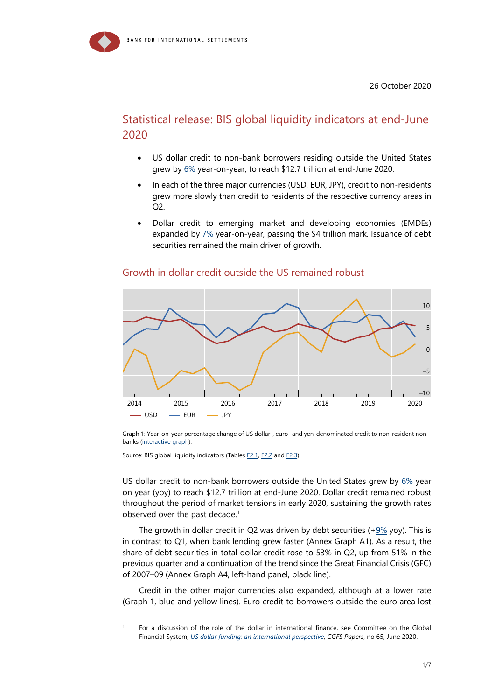

# Statistical release: BIS global liquidity indicators at end-June 2020

- US dollar credit to non-bank borrowers residing outside the United States grew by [6%](https://stats.bis.org/statx/srs/tseries/GLI/Q:USD:3P:N:A:I:B:771?t=E2&m=USD&p=20202&i=1.6&x=UNIT_MEASURE.7.CL_BIS_UNIT&o=s:line) year-on-year, to reach \$12.7 trillion at end-June 2020.
- In each of the three major currencies (USD, EUR, JPY), credit to non-residents grew more slowly than credit to residents of the respective currency areas in Q2.
- Dollar credit to emerging market and developing economies (EMDEs) expanded by [7%](https://stats.bis.org/statx/srs/tseries/GLI/Q:USD:4T:N:A:I:B:771?t=E2&m=USD&p=20202&i=2.6&x=UNIT_MEASURE.7.CL_BIS_UNIT&o=s:line) year-on-year, passing the \$4 trillion mark. Issuance of debt securities remained the main driver of growth.



### Growth in dollar credit outside the US remained robust

Graph 1: Year-on-year percentage change of US dollar-, euro- and yen-denominated credit to non-resident nonbanks [\(interactive graph\)](https://stats.bis.org/statx/srs/tseries/GLI/Q:USD:3P:N:A:I:B:771?t=E2&p=20202&m=USD&x=CURR_DENOM.1.CL_CURRENCY_3POS.EUR:USD:JPY&o=w:20152.20202).

Source: BIS global liquidity indicators (Table[s E2.1,](https://stats.bis.org/statx/srs/table/e2?m=USD) [E2.2 a](https://stats.bis.org/statx/srs/table/e2?m=EUR)n[d E2.3\)](https://stats.bis.org/statx/srs/table/e2?m=JPY).

US dollar credit to non-bank borrowers outside the United States grew by  $6\%$  year on year (yoy) to reach \$12.7 trillion at end-June 2020. Dollar credit remained robust throughout the period of market tensions in early 2020, sustaining the growth rates observed over the past decade.<sup>1</sup>

The growth in dollar credit in Q2 was driven by debt securities  $(+9\%$  yoy). This is in contrast to Q1, when bank lending grew faster (Annex Graph A1). As a result, the share of debt securities in total dollar credit rose to 53% in Q2, up from 51% in the previous quarter and a continuation of the trend since the Great Financial Crisis (GFC) of 2007–09 (Annex Graph A4, left-hand panel, black line).

Credit in the other major currencies also expanded, although at a lower rate (Graph 1, blue and yellow lines). Euro credit to borrowers outside the euro area lost

<span id="page-0-0"></span><sup>1</sup> For a discussion of the role of the dollar in international finance, see Committee on the Global Financial System, *[US dollar funding: an international perspective](https://www.bis.org/publ/cgfs65.htm)*, *CGFS Papers*, no 65, June 2020.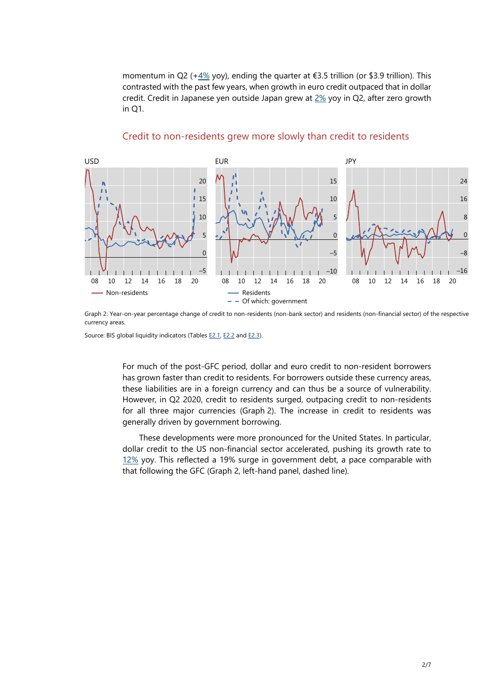momentum in Q2 ([+4%](https://stats.bis.org/statx/srs/tseries/GLI/Q:EUR:3P:N:A:I:B:771?t=E2&m=EUR&p=20202&i=1.6&x=UNIT_MEASURE.7.CL_BIS_UNIT&o=s:line) yoy), ending the quarter at  $\epsilon$ 3.5 trillion (or \$3.9 trillion). This contrasted with the past few years, when growth in euro credit outpaced that in dollar credit. Credit in Japanese yen outside Japan grew at  $2\%$  yoy in Q2, after zero growth in Q1.



### Credit to non-residents grew more slowly than credit to residents

Graph 2: Year-on-year percentage change of credit to non-residents (non-bank sector) and residents (non-financial sector) of the respective currency areas.

Source: BIS global liquidity indicators (Table[s E2.1,](https://stats.bis.org/statx/srs/table/e2?m=USD) [E2.2 a](https://stats.bis.org/statx/srs/table/e2?m=EUR)nd [E2.3\).](https://stats.bis.org/statx/srs/table/e2?m=JPY)

For much of the post-GFC period, dollar and euro credit to non-resident borrowers has grown faster than credit to residents. For borrowers outside these currency areas, these liabilities are in a foreign currency and can thus be a source of vulnerability. However, in Q2 2020, credit to residents surged, outpacing credit to non-residents for all three major currencies (Graph 2). The increase in credit to residents was generally driven by government borrowing.

These developments were more pronounced for the United States. In particular, dollar credit to the US non-financial sector accelerated, pushing its growth rate to [12%](https://stats.bis.org/statx/srs/tseries/GLI/Q:USD:US:P:A:A:B:771?t=E2&m=USD&p=20202&i=31.6&x=BORROWERS_SECTOR.3.CL_L_SECTOR&o=s:line) yoy. This reflected a 19% surge in government debt, a pace comparable with that following the GFC (Graph 2, left-hand panel, dashed line).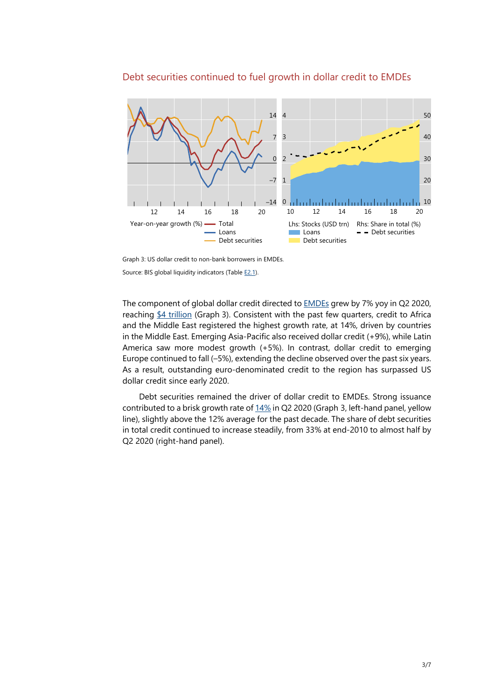

### Debt securities continued to fuel growth in dollar credit to EMDEs

Graph 3: US dollar credit to non-bank borrowers in EMDEs. Source: BIS global liquidity indicators (Table [E2.1\).](https://stats.bis.org/statx/srs/table/e2?m=USD)

The component of global dollar credit directed to **EMDEs** grew by 7% yoy in Q2 2020, reaching [\\$4 trillion](https://stats.bis.org/statx/srs/tseries/GLI/Q:USD:4T:N:A:I:B:771?t=E2&m=USD&p=20202&i=2.6&x=UNIT_MEASURE.7.CL_BIS_UNIT&o=s:line) (Graph 3). Consistent with the past few quarters, credit to Africa and the Middle East registered the highest growth rate, at 14%, driven by countries in the Middle East. Emerging Asia-Pacific also received dollar credit (+9%), while Latin America saw more modest growth (+5%). In contrast, dollar credit to emerging Europe continued to fall (–5%), extending the decline observed over the past six years. As a result, outstanding euro-denominated credit to the region has surpassed US dollar credit since early 2020.

Debt securities remained the driver of dollar credit to EMDEs. Strong issuance contributed to a brisk growth rate of [14%](https://stats.bis.org/statx/srs/tseries/GLI/Q:USD:4T:N:A:I:D:771?t=E2&m=USD&p=20202&i=28.6&x=UNIT_MEASURE.7.CL_BIS_UNIT&o=s:line) in Q2 2020 (Graph 3, left-hand panel, yellow line), slightly above the 12% average for the past decade. The share of debt securities in total credit continued to increase steadily, from 33% at end-2010 to almost half by Q2 2020 (right-hand panel).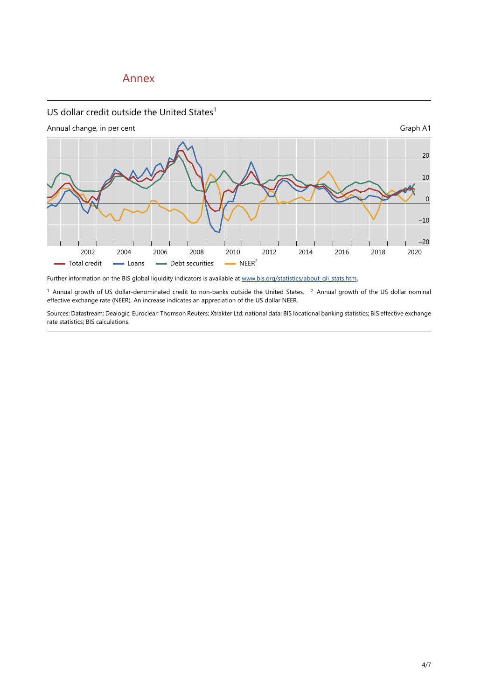## Annex

### US dollar credit outside the United States $1$

Annual change, in per cent Graph A1

![](_page_3_Figure_3.jpeg)

Further information on the BIS global liquidity indicators is available at [www.bis.org/statistics/about\\_gli\\_stats.htm.](https://www.bis.org/statistics/about_gli_stats.htm)

 $1$  Annual growth of US dollar-denominated credit to non-banks outside the United States.  $2$  Annual growth of the US dollar nominal effective exchange rate (NEER). An increase indicates an appreciation of the US dollar NEER.

Sources: Datastream; Dealogic; Euroclear; Thomson Reuters; Xtrakter Ltd; national data; BIS locational banking statistics; BIS effective exchange rate statistics; BIS calculations.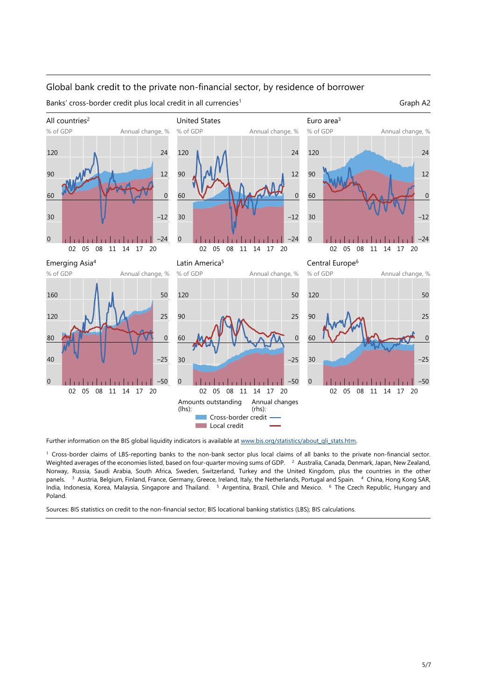### Global bank credit to the private non-financial sector, by residence of borrower

Banks' cross-border credit plus local credit in all currencies<sup>1</sup> Graph A2

![](_page_4_Figure_2.jpeg)

![](_page_4_Figure_3.jpeg)

Further information on the BIS global liquidity indicators is available at [www.bis.org/statistics/about\\_gli\\_stats.htm.](https://www.bis.org/statistics/about_gli_stats.htm)

<sup>1</sup> Cross-border claims of LBS-reporting banks to the non-bank sector plus local claims of all banks to the private non-financial sector. Weighted averages of the economies listed, based on four-quarter moving sums of GDP. <sup>2</sup> Australia, Canada, Denmark, Japan, New Zealand, Norway, Russia, Saudi Arabia, South Africa, Sweden, Switzerland, Turkey and the United Kingdom, plus the countries in the other panels. 3 Austria, Belgium, Finland, France, Germany, Greece, Ireland, Italy, the Netherlands, Portugal and Spain. 4 China, Hong Kong SAR, India, Indonesia, Korea, Malaysia, Singapore and Thailand. 5 Argentina, Brazil, Chile and Mexico. 6 The Czech Republic, Hungary and Poland.

Sources: BIS statistics on credit to the non-financial sector; BIS locational banking statistics (LBS); BIS calculations.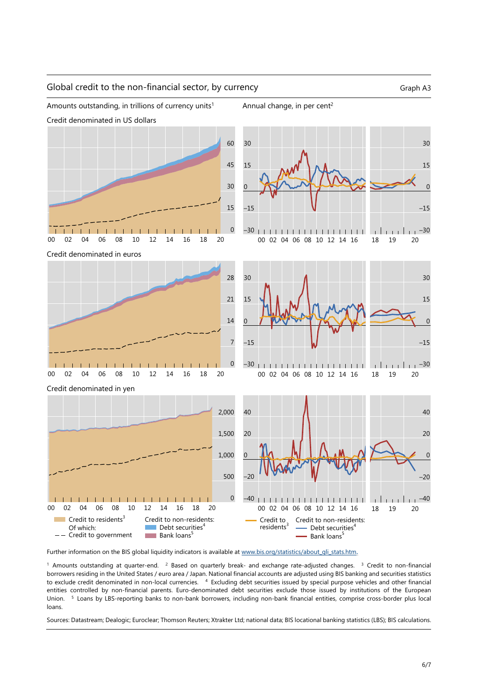![](_page_5_Figure_0.jpeg)

Amounts outstanding, in trillions of currency units<sup>1</sup> Annual change, in per cent<sup>2</sup>

Credit denominated in US dollars

![](_page_5_Figure_3.jpeg)

![](_page_5_Figure_4.jpeg)

![](_page_5_Figure_5.jpeg)

Further information on the BIS global liquidity indicators is available at [www.bis.org/statistics/about\\_gli\\_stats.htm.](https://www.bis.org/statistics/about_gli_stats.htm)

 $1$  Amounts outstanding at quarter-end.  $2$  Based on quarterly break- and exchange rate-adjusted changes.  $3$  Credit to non-financial borrowers residing in the United States / euro area / Japan. National financial accounts are adjusted using BIS banking and securities statistics to exclude credit denominated in non-local currencies. <sup>4</sup> Excluding debt securities issued by special purpose vehicles and other financial entities controlled by non-financial parents. Euro-denominated debt securities exclude those issued by institutions of the European Union. 5 Loans by LBS-reporting banks to non-bank borrowers, including non-bank financial entities, comprise cross-border plus local loans.

Sources: Datastream; Dealogic; Euroclear; Thomson Reuters; Xtrakter Ltd; national data; BIS locational banking statistics (LBS); BIS calculations.